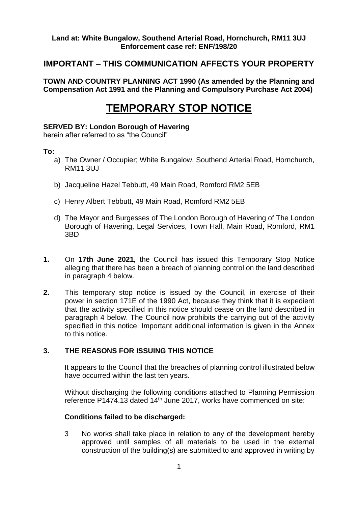## **Land at: White Bungalow, Southend Arterial Road, Hornchurch, RM11 3UJ Enforcement case ref: ENF/198/20**

# **IMPORTANT – THIS COMMUNICATION AFFECTS YOUR PROPERTY**

**TOWN AND COUNTRY PLANNING ACT 1990 (As amended by the Planning and Compensation Act 1991 and the Planning and Compulsory Purchase Act 2004)** 

# **TEMPORARY STOP NOTICE**

#### **SERVED BY: London Borough of Havering**

herein after referred to as "the Council"

#### **To:**

- a) The Owner / Occupier; White Bungalow, Southend Arterial Road, Hornchurch, RM11 3UJ
- b) Jacqueline Hazel Tebbutt, 49 Main Road, Romford RM2 5EB
- c) Henry Albert Tebbutt, 49 Main Road, Romford RM2 5EB
- d) The Mayor and Burgesses of The London Borough of Havering of The London Borough of Havering, Legal Services, Town Hall, Main Road, Romford, RM1 3BD
- **1.** On **17th June 2021***,* the Council has issued this Temporary Stop Notice alleging that there has been a breach of planning control on the land described in paragraph 4 below.
- **2.** This temporary stop notice is issued by the Council, in exercise of their power in section 171E of the 1990 Act, because they think that it is expedient that the activity specified in this notice should cease on the land described in paragraph 4 below. The Council now prohibits the carrying out of the activity specified in this notice. Important additional information is given in the Annex to this notice.

### **3. THE REASONS FOR ISSUING THIS NOTICE**

It appears to the Council that the breaches of planning control illustrated below have occurred within the last ten years.

Without discharging the following conditions attached to Planning Permission reference P1474.13 dated 14<sup>th</sup> June 2017, works have commenced on site:

### **Conditions failed to be discharged:**

3 No works shall take place in relation to any of the development hereby approved until samples of all materials to be used in the external construction of the building(s) are submitted to and approved in writing by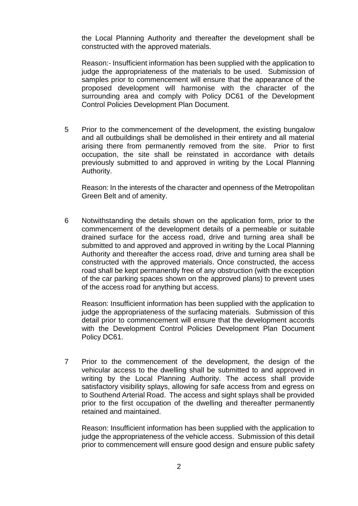the Local Planning Authority and thereafter the development shall be constructed with the approved materials.

Reason:- Insufficient information has been supplied with the application to judge the appropriateness of the materials to be used. Submission of samples prior to commencement will ensure that the appearance of the proposed development will harmonise with the character of the surrounding area and comply with Policy DC61 of the Development Control Policies Development Plan Document.

5 Prior to the commencement of the development, the existing bungalow and all outbuildings shall be demolished in their entirety and all material arising there from permanently removed from the site. Prior to first occupation, the site shall be reinstated in accordance with details previously submitted to and approved in writing by the Local Planning Authority.

Reason: In the interests of the character and openness of the Metropolitan Green Belt and of amenity.

6 Notwithstanding the details shown on the application form, prior to the commencement of the development details of a permeable or suitable drained surface for the access road, drive and turning area shall be submitted to and approved and approved in writing by the Local Planning Authority and thereafter the access road, drive and turning area shall be constructed with the approved materials. Once constructed, the access road shall be kept permanently free of any obstruction (with the exception of the car parking spaces shown on the approved plans) to prevent uses of the access road for anything but access.

Reason: Insufficient information has been supplied with the application to judge the appropriateness of the surfacing materials. Submission of this detail prior to commencement will ensure that the development accords with the Development Control Policies Development Plan Document Policy DC61.

7 Prior to the commencement of the development, the design of the vehicular access to the dwelling shall be submitted to and approved in writing by the Local Planning Authority. The access shall provide satisfactory visibility splays, allowing for safe access from and egress on to Southend Arterial Road. The access and sight splays shall be provided prior to the first occupation of the dwelling and thereafter permanently retained and maintained.

Reason: Insufficient information has been supplied with the application to judge the appropriateness of the vehicle access. Submission of this detail prior to commencement will ensure good design and ensure public safety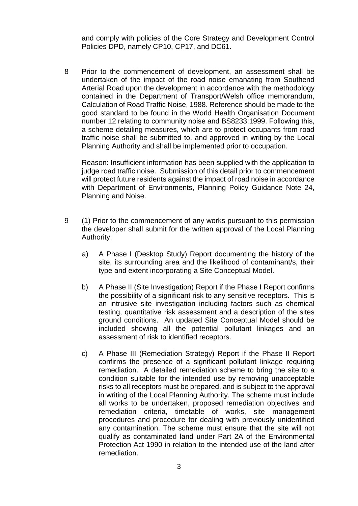and comply with policies of the Core Strategy and Development Control Policies DPD, namely CP10, CP17, and DC61.

8 Prior to the commencement of development, an assessment shall be undertaken of the impact of the road noise emanating from Southend Arterial Road upon the development in accordance with the methodology contained in the Department of Transport/Welsh office memorandum, Calculation of Road Traffic Noise, 1988. Reference should be made to the good standard to be found in the World Health Organisation Document number 12 relating to community noise and BS8233:1999. Following this, a scheme detailing measures, which are to protect occupants from road traffic noise shall be submitted to, and approved in writing by the Local Planning Authority and shall be implemented prior to occupation.

Reason: Insufficient information has been supplied with the application to judge road traffic noise. Submission of this detail prior to commencement will protect future residents against the impact of road noise in accordance with Department of Environments, Planning Policy Guidance Note 24, Planning and Noise.

- 9 (1) Prior to the commencement of any works pursuant to this permission the developer shall submit for the written approval of the Local Planning Authority;
	- a) A Phase I (Desktop Study) Report documenting the history of the site, its surrounding area and the likelihood of contaminant/s, their type and extent incorporating a Site Conceptual Model.
	- b) A Phase II (Site Investigation) Report if the Phase I Report confirms the possibility of a significant risk to any sensitive receptors. This is an intrusive site investigation including factors such as chemical testing, quantitative risk assessment and a description of the sites ground conditions. An updated Site Conceptual Model should be included showing all the potential pollutant linkages and an assessment of risk to identified receptors.
	- c) A Phase III (Remediation Strategy) Report if the Phase II Report confirms the presence of a significant pollutant linkage requiring remediation. A detailed remediation scheme to bring the site to a condition suitable for the intended use by removing unacceptable risks to all receptors must be prepared, and is subject to the approval in writing of the Local Planning Authority. The scheme must include all works to be undertaken, proposed remediation objectives and remediation criteria, timetable of works, site management procedures and procedure for dealing with previously unidentified any contamination. The scheme must ensure that the site will not qualify as contaminated land under Part 2A of the Environmental Protection Act 1990 in relation to the intended use of the land after remediation.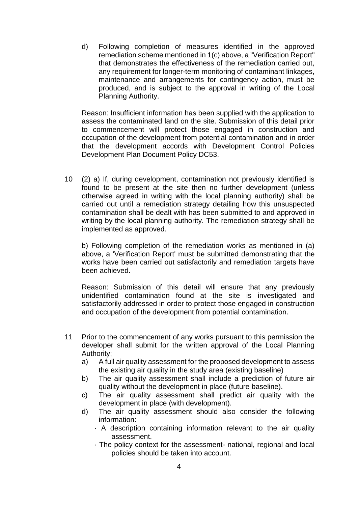d) Following completion of measures identified in the approved remediation scheme mentioned in 1(c) above, a "Verification Report" that demonstrates the effectiveness of the remediation carried out, any requirement for longer-term monitoring of contaminant linkages, maintenance and arrangements for contingency action, must be produced, and is subject to the approval in writing of the Local Planning Authority.

Reason: Insufficient information has been supplied with the application to assess the contaminated land on the site. Submission of this detail prior to commencement will protect those engaged in construction and occupation of the development from potential contamination and in order that the development accords with Development Control Policies Development Plan Document Policy DC53.

10 (2) a) If, during development, contamination not previously identified is found to be present at the site then no further development (unless otherwise agreed in writing with the local planning authority) shall be carried out until a remediation strategy detailing how this unsuspected contamination shall be dealt with has been submitted to and approved in writing by the local planning authority. The remediation strategy shall be implemented as approved.

b) Following completion of the remediation works as mentioned in (a) above, a 'Verification Report' must be submitted demonstrating that the works have been carried out satisfactorily and remediation targets have been achieved.

Reason: Submission of this detail will ensure that any previously unidentified contamination found at the site is investigated and satisfactorily addressed in order to protect those engaged in construction and occupation of the development from potential contamination.

- 11 Prior to the commencement of any works pursuant to this permission the developer shall submit for the written approval of the Local Planning Authority;
	- a) A full air quality assessment for the proposed development to assess the existing air quality in the study area (existing baseline)
	- b) The air quality assessment shall include a prediction of future air quality without the development in place (future baseline).
	- c) The air quality assessment shall predict air quality with the development in place (with development).
	- d) The air quality assessment should also consider the following information:
		- · A description containing information relevant to the air quality assessment.
		- · The policy context for the assessment- national, regional and local policies should be taken into account.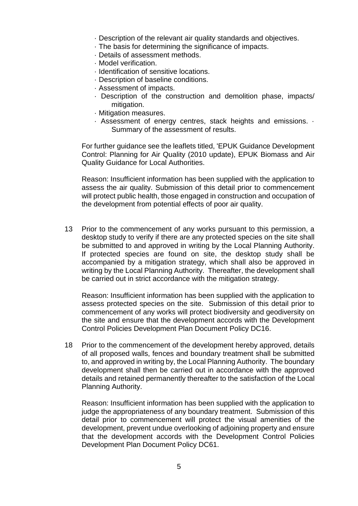- · Description of the relevant air quality standards and objectives.
- · The basis for determining the significance of impacts.
- · Details of assessment methods.
- · Model verification.
- · Identification of sensitive locations.
- · Description of baseline conditions.
- · Assessment of impacts.
- · Description of the construction and demolition phase, impacts/ mitigation.
- · Mitigation measures.
- · Assessment of energy centres, stack heights and emissions. · Summary of the assessment of results.

For further guidance see the leaflets titled, 'EPUK Guidance Development Control: Planning for Air Quality (2010 update), EPUK Biomass and Air Quality Guidance for Local Authorities.

Reason: Insufficient information has been supplied with the application to assess the air quality. Submission of this detail prior to commencement will protect public health, those engaged in construction and occupation of the development from potential effects of poor air quality.

13 Prior to the commencement of any works pursuant to this permission, a desktop study to verify if there are any protected species on the site shall be submitted to and approved in writing by the Local Planning Authority. If protected species are found on site, the desktop study shall be accompanied by a mitigation strategy, which shall also be approved in writing by the Local Planning Authority. Thereafter, the development shall be carried out in strict accordance with the mitigation strategy.

Reason: Insufficient information has been supplied with the application to assess protected species on the site. Submission of this detail prior to commencement of any works will protect biodiversity and geodiversity on the site and ensure that the development accords with the Development Control Policies Development Plan Document Policy DC16.

18 Prior to the commencement of the development hereby approved, details of all proposed walls, fences and boundary treatment shall be submitted to, and approved in writing by, the Local Planning Authority. The boundary development shall then be carried out in accordance with the approved details and retained permanently thereafter to the satisfaction of the Local Planning Authority.

Reason: Insufficient information has been supplied with the application to judge the appropriateness of any boundary treatment. Submission of this detail prior to commencement will protect the visual amenities of the development, prevent undue overlooking of adjoining property and ensure that the development accords with the Development Control Policies Development Plan Document Policy DC61.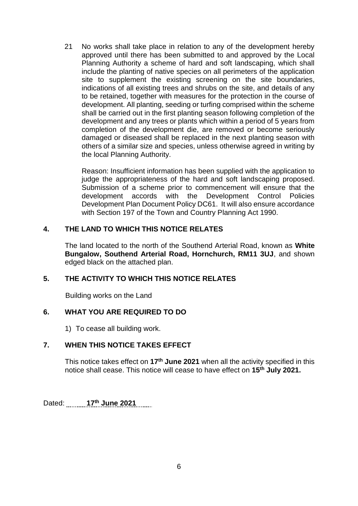21 No works shall take place in relation to any of the development hereby approved until there has been submitted to and approved by the Local Planning Authority a scheme of hard and soft landscaping, which shall include the planting of native species on all perimeters of the application site to supplement the existing screening on the site boundaries, indications of all existing trees and shrubs on the site, and details of any to be retained, together with measures for the protection in the course of development. All planting, seeding or turfing comprised within the scheme shall be carried out in the first planting season following completion of the development and any trees or plants which within a period of 5 years from completion of the development die, are removed or become seriously damaged or diseased shall be replaced in the next planting season with others of a similar size and species, unless otherwise agreed in writing by the local Planning Authority.

Reason: Insufficient information has been supplied with the application to judge the appropriateness of the hard and soft landscaping proposed. Submission of a scheme prior to commencement will ensure that the development accords with the Development Control Policies Development Plan Document Policy DC61. It will also ensure accordance with Section 197 of the Town and Country Planning Act 1990.

## **4. THE LAND TO WHICH THIS NOTICE RELATES**

The land located to the north of the Southend Arterial Road, known as **White Bungalow, Southend Arterial Road, Hornchurch, RM11 3UJ**, and shown edged black on the attached plan.

## **5. THE ACTIVITY TO WHICH THIS NOTICE RELATES**

Building works on the Land

## **6. WHAT YOU ARE REQUIRED TO DO**

1) To cease all building work.

## **7. WHEN THIS NOTICE TAKES EFFECT**

This notice takes effect on **17th June 2021** when all the activity specified in this notice shall cease. This notice will cease to have effect on 15<sup>th</sup> July 2021.

Dated: **17<sup>th</sup> June 2021**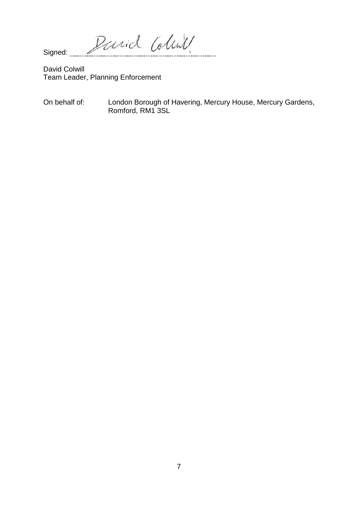Parid Coline Signed: .... . . . . . . . . . .

**David Colwill** Team Leader, Planning Enforcement

London Borough of Havering, Mercury House, Mercury Gardens, On behalf of: Romford, RM1 3SL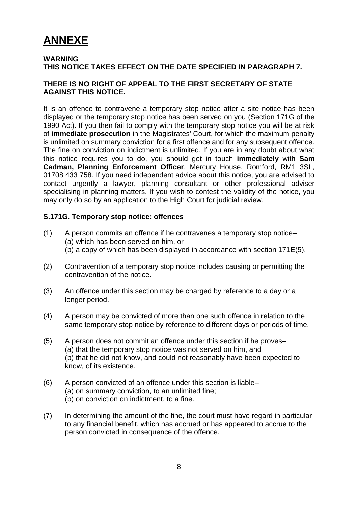# **ANNEXE**

#### **WARNING THIS NOTICE TAKES EFFECT ON THE DATE SPECIFIED IN PARAGRAPH 7.**

### **THERE IS NO RIGHT OF APPEAL TO THE FIRST SECRETARY OF STATE AGAINST THIS NOTICE.**

It is an offence to contravene a temporary stop notice after a site notice has been displayed or the temporary stop notice has been served on you (Section 171G of the 1990 Act). If you then fail to comply with the temporary stop notice you will be at risk of **immediate prosecution** in the Magistrates' Court, for which the maximum penalty is unlimited on summary conviction for a first offence and for any subsequent offence. The fine on conviction on indictment is unlimited. If you are in any doubt about what this notice requires you to do, you should get in touch **immediately** with **Sam Cadman, Planning Enforcement Officer**, Mercury House, Romford, RM1 3SL, 01708 433 758. If you need independent advice about this notice, you are advised to contact urgently a lawyer, planning consultant or other professional adviser specialising in planning matters. If you wish to contest the validity of the notice, you may only do so by an application to the High Court for judicial review.

#### **S.171G. Temporary stop notice: offences**

- (1) A person commits an offence if he contravenes a temporary stop notice– (a) which has been served on him, or (b) a copy of which has been displayed in accordance with section 171E(5).
- (2) Contravention of a temporary stop notice includes causing or permitting the contravention of the notice.
- (3) An offence under this section may be charged by reference to a day or a longer period.
- (4) A person may be convicted of more than one such offence in relation to the same temporary stop notice by reference to different days or periods of time.
- (5) A person does not commit an offence under this section if he proves– (a) that the temporary stop notice was not served on him, and (b) that he did not know, and could not reasonably have been expected to know, of its existence.
- (6) A person convicted of an offence under this section is liable– (a) on summary conviction, to an unlimited fine; (b) on conviction on indictment, to a fine.
- (7) In determining the amount of the fine, the court must have regard in particular to any financial benefit, which has accrued or has appeared to accrue to the person convicted in consequence of the offence.